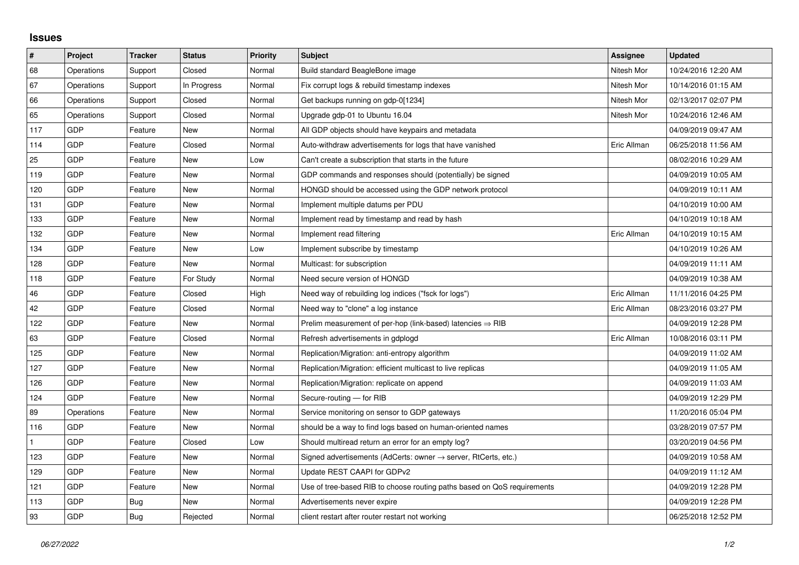## **Issues**

| $\vert$ # | Project    | <b>Tracker</b> | <b>Status</b> | <b>Priority</b> | <b>Subject</b>                                                             | Assignee    | <b>Updated</b>      |
|-----------|------------|----------------|---------------|-----------------|----------------------------------------------------------------------------|-------------|---------------------|
| 68        | Operations | Support        | Closed        | Normal          | Build standard BeagleBone image                                            | Nitesh Mor  | 10/24/2016 12:20 AM |
| 67        | Operations | Support        | In Progress   | Normal          | Fix corrupt logs & rebuild timestamp indexes                               | Nitesh Mor  | 10/14/2016 01:15 AM |
| 66        | Operations | Support        | Closed        | Normal          | Get backups running on gdp-0[1234]                                         | Nitesh Mor  | 02/13/2017 02:07 PM |
| 65        | Operations | Support        | Closed        | Normal          | Upgrade gdp-01 to Ubuntu 16.04                                             | Nitesh Mor  | 10/24/2016 12:46 AM |
| 117       | <b>GDP</b> | Feature        | New           | Normal          | All GDP objects should have keypairs and metadata                          |             | 04/09/2019 09:47 AM |
| 114       | <b>GDP</b> | Feature        | Closed        | Normal          | Auto-withdraw advertisements for logs that have vanished                   | Eric Allman | 06/25/2018 11:56 AM |
| 25        | <b>GDP</b> | Feature        | <b>New</b>    | Low             | Can't create a subscription that starts in the future                      |             | 08/02/2016 10:29 AM |
| 119       | GDP        | Feature        | New           | Normal          | GDP commands and responses should (potentially) be signed                  |             | 04/09/2019 10:05 AM |
| 120       | GDP        | Feature        | New           | Normal          | HONGD should be accessed using the GDP network protocol                    |             | 04/09/2019 10:11 AM |
| 131       | <b>GDP</b> | Feature        | <b>New</b>    | Normal          | Implement multiple datums per PDU                                          |             | 04/10/2019 10:00 AM |
| 133       | <b>GDP</b> | Feature        | New           | Normal          | Implement read by timestamp and read by hash                               |             | 04/10/2019 10:18 AM |
| 132       | <b>GDP</b> | Feature        | New           | Normal          | Implement read filtering                                                   | Eric Allman | 04/10/2019 10:15 AM |
| 134       | <b>GDP</b> | Feature        | <b>New</b>    | Low             | Implement subscribe by timestamp                                           |             | 04/10/2019 10:26 AM |
| 128       | GDP        | Feature        | New           | Normal          | Multicast: for subscription                                                |             | 04/09/2019 11:11 AM |
| 118       | <b>GDP</b> | Feature        | For Study     | Normal          | Need secure version of HONGD                                               |             | 04/09/2019 10:38 AM |
| 46        | <b>GDP</b> | Feature        | Closed        | High            | Need way of rebuilding log indices ("fsck for logs")                       | Eric Allman | 11/11/2016 04:25 PM |
| 42        | GDP        | Feature        | Closed        | Normal          | Need way to "clone" a log instance                                         | Eric Allman | 08/23/2016 03:27 PM |
| 122       | <b>GDP</b> | Feature        | <b>New</b>    | Normal          | Prelim measurement of per-hop (link-based) latencies $\Rightarrow$ RIB     |             | 04/09/2019 12:28 PM |
| 63        | GDP        | Feature        | Closed        | Normal          | Refresh advertisements in gdplogd                                          | Eric Allman | 10/08/2016 03:11 PM |
| 125       | GDP        | Feature        | <b>New</b>    | Normal          | Replication/Migration: anti-entropy algorithm                              |             | 04/09/2019 11:02 AM |
| 127       | <b>GDP</b> | Feature        | <b>New</b>    | Normal          | Replication/Migration: efficient multicast to live replicas                |             | 04/09/2019 11:05 AM |
| 126       | <b>GDP</b> | Feature        | <b>New</b>    | Normal          | Replication/Migration: replicate on append                                 |             | 04/09/2019 11:03 AM |
| 124       | <b>GDP</b> | Feature        | <b>New</b>    | Normal          | Secure-routing - for RIB                                                   |             | 04/09/2019 12:29 PM |
| 89        | Operations | Feature        | New           | Normal          | Service monitoring on sensor to GDP gateways                               |             | 11/20/2016 05:04 PM |
| 116       | <b>GDP</b> | Feature        | <b>New</b>    | Normal          | should be a way to find logs based on human-oriented names                 |             | 03/28/2019 07:57 PM |
|           | GDP        | Feature        | Closed        | Low             | Should multiread return an error for an empty log?                         |             | 03/20/2019 04:56 PM |
| 123       | GDP        | Feature        | <b>New</b>    | Normal          | Signed advertisements (AdCerts: owner $\rightarrow$ server, RtCerts, etc.) |             | 04/09/2019 10:58 AM |
| 129       | <b>GDP</b> | Feature        | <b>New</b>    | Normal          | Update REST CAAPI for GDPv2                                                |             | 04/09/2019 11:12 AM |
| 121       | GDP        | Feature        | New           | Normal          | Use of tree-based RIB to choose routing paths based on QoS requirements    |             | 04/09/2019 12:28 PM |
| 113       | GDP        | Bug            | <b>New</b>    | Normal          | Advertisements never expire                                                |             | 04/09/2019 12:28 PM |
| 93        | GDP        | Bug            | Rejected      | Normal          | client restart after router restart not working                            |             | 06/25/2018 12:52 PM |